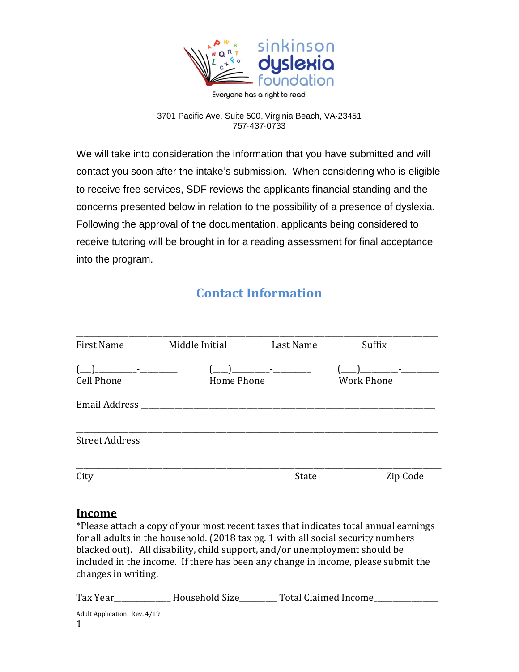

## 3701 Pacific Ave. Suite 500, Virginia Beach, VA·23451 757·437·0733

We will take into consideration the information that you have submitted and will contact you soon after the intake's submission. When considering who is eligible to receive free services, SDF reviews the applicants financial standing and the concerns presented below in relation to the possibility of a presence of dyslexia. Following the approval of the documentation, applicants being considered to receive tutoring will be brought in for a reading assessment for final acceptance into the program.

## **Contact Information**

| <b>First Name</b>                            | Middle Initial | Last Name | Suffix            |
|----------------------------------------------|----------------|-----------|-------------------|
| and the property of the<br><b>Cell Phone</b> | Home Phone     |           | <b>Work Phone</b> |
| Email Address                                |                |           |                   |
| <b>Street Address</b>                        |                |           |                   |
| City                                         |                | State     | Zip Code          |

## **Income**

\*Please attach a copy of your most recent taxes that indicates total annual earnings for all adults in the household. (2018 tax pg. 1 with all social security numbers blacked out). All disability, child support, and/or unemployment should be included in the income. If there has been any change in income, please submit the changes in writing.

Adult Application Rev. 4/19 1 Tax Year \_\_\_\_\_\_\_\_\_\_\_\_\_ Household Size \_\_\_\_\_\_\_\_ Total Claimed Income